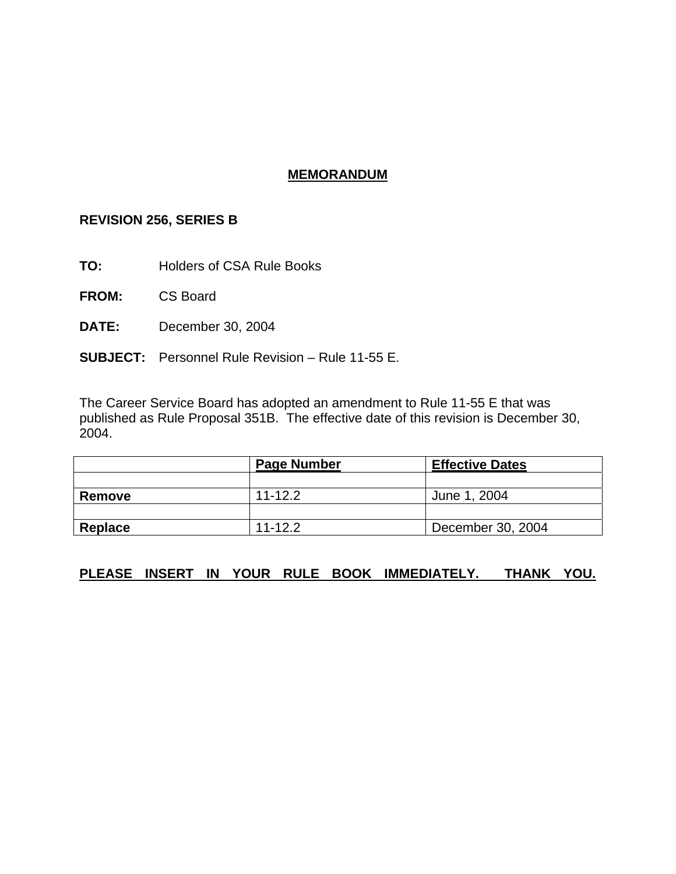## **MEMORANDUM**

## **REVISION 256, SERIES B**

**TO:** Holders of CSA Rule Books

**FROM:** CS Board

- **DATE:** December 30, 2004
- **SUBJECT:** Personnel Rule Revision Rule 11-55 E.

The Career Service Board has adopted an amendment to Rule 11-55 E that was published as Rule Proposal 351B. The effective date of this revision is December 30, 2004.

|               | <b>Page Number</b> | <b>Effective Dates</b> |
|---------------|--------------------|------------------------|
|               |                    |                        |
| <b>Remove</b> | $11 - 12.2$        | June 1, 2004           |
|               |                    |                        |
| Replace       | $11 - 12.2$        | December 30, 2004      |

## **PLEASE INSERT IN YOUR RULE BOOK IMMEDIATELY. THANK YOU.**